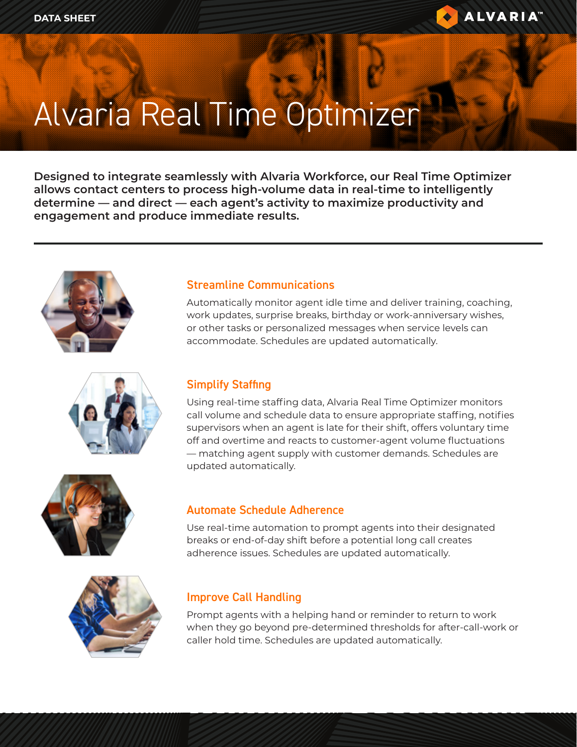

# Alvaria Real Time Optimizer

**Designed to integrate seamlessly with Alvaria Workforce, our Real Time Optimizer allows contact centers to process high-volume data in real-time to intelligently determine — and direct — each agent's activity to maximize productivity and engagement and produce immediate results.**







### Streamline Communications

Automatically monitor agent idle time and deliver training, coaching, work updates, surprise breaks, birthday or work-anniversary wishes, or other tasks or personalized messages when service levels can accommodate. Schedules are updated automatically.

### Simplify Staffing

Using real-time staffing data, Alvaria Real Time Optimizer monitors call volume and schedule data to ensure appropriate staffing, notifies supervisors when an agent is late for their shift, offers voluntary time off and overtime and reacts to customer-agent volume fluctuations — matching agent supply with customer demands. Schedules are updated automatically.

#### Automate Schedule Adherence

Use real-time automation to prompt agents into their designated breaks or end-of-day shift before a potential long call creates adherence issues. Schedules are updated automatically.



#### Improve Call Handling

Prompt agents with a helping hand or reminder to return to work when they go beyond pre-determined thresholds for after-call-work or caller hold time. Schedules are updated automatically.